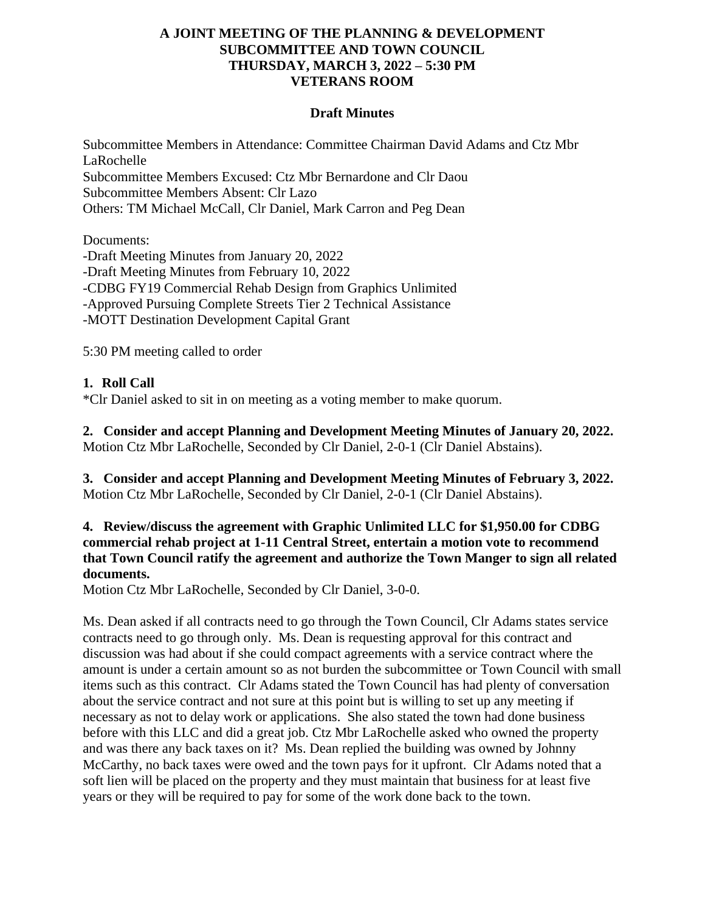#### **A JOINT MEETING OF THE PLANNING & DEVELOPMENT SUBCOMMITTEE AND TOWN COUNCIL THURSDAY, MARCH 3, 2022 – 5:30 PM VETERANS ROOM**

#### **Draft Minutes**

Subcommittee Members in Attendance: Committee Chairman David Adams and Ctz Mbr LaRochelle Subcommittee Members Excused: Ctz Mbr Bernardone and Clr Daou Subcommittee Members Absent: Clr Lazo Others: TM Michael McCall, Clr Daniel, Mark Carron and Peg Dean

Documents:

-Draft Meeting Minutes from January 20, 2022 -Draft Meeting Minutes from February 10, 2022 -CDBG FY19 Commercial Rehab Design from Graphics Unlimited -Approved Pursuing Complete Streets Tier 2 Technical Assistance -MOTT Destination Development Capital Grant

5:30 PM meeting called to order

# **1. Roll Call**

\*Clr Daniel asked to sit in on meeting as a voting member to make quorum.

**2. Consider and accept Planning and Development Meeting Minutes of January 20, 2022.** Motion Ctz Mbr LaRochelle, Seconded by Clr Daniel, 2-0-1 (Clr Daniel Abstains).

**3. Consider and accept Planning and Development Meeting Minutes of February 3, 2022.** Motion Ctz Mbr LaRochelle, Seconded by Clr Daniel, 2-0-1 (Clr Daniel Abstains).

### **4. Review/discuss the agreement with Graphic Unlimited LLC for \$1,950.00 for CDBG commercial rehab project at 1-11 Central Street, entertain a motion vote to recommend that Town Council ratify the agreement and authorize the Town Manger to sign all related documents.**

Motion Ctz Mbr LaRochelle, Seconded by Clr Daniel, 3-0-0.

Ms. Dean asked if all contracts need to go through the Town Council, Clr Adams states service contracts need to go through only. Ms. Dean is requesting approval for this contract and discussion was had about if she could compact agreements with a service contract where the amount is under a certain amount so as not burden the subcommittee or Town Council with small items such as this contract. Clr Adams stated the Town Council has had plenty of conversation about the service contract and not sure at this point but is willing to set up any meeting if necessary as not to delay work or applications. She also stated the town had done business before with this LLC and did a great job. Ctz Mbr LaRochelle asked who owned the property and was there any back taxes on it? Ms. Dean replied the building was owned by Johnny McCarthy, no back taxes were owed and the town pays for it upfront. Clr Adams noted that a soft lien will be placed on the property and they must maintain that business for at least five years or they will be required to pay for some of the work done back to the town.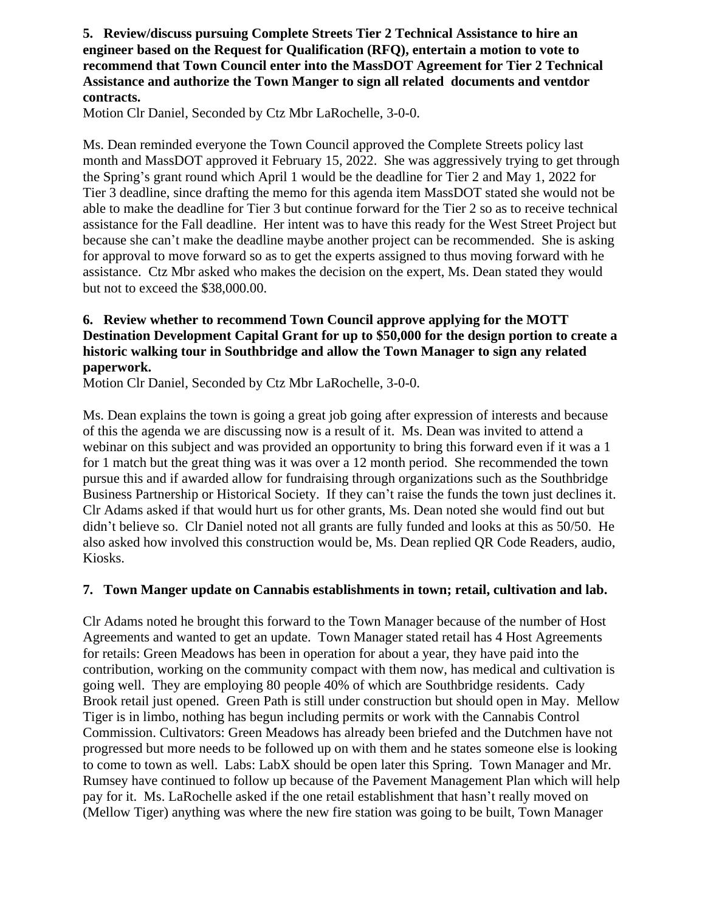#### **5. Review/discuss pursuing Complete Streets Tier 2 Technical Assistance to hire an engineer based on the Request for Qualification (RFQ), entertain a motion to vote to recommend that Town Council enter into the MassDOT Agreement for Tier 2 Technical Assistance and authorize the Town Manger to sign all related documents and ventdor contracts.**

Motion Clr Daniel, Seconded by Ctz Mbr LaRochelle, 3-0-0.

Ms. Dean reminded everyone the Town Council approved the Complete Streets policy last month and MassDOT approved it February 15, 2022. She was aggressively trying to get through the Spring's grant round which April 1 would be the deadline for Tier 2 and May 1, 2022 for Tier 3 deadline, since drafting the memo for this agenda item MassDOT stated she would not be able to make the deadline for Tier 3 but continue forward for the Tier 2 so as to receive technical assistance for the Fall deadline. Her intent was to have this ready for the West Street Project but because she can't make the deadline maybe another project can be recommended. She is asking for approval to move forward so as to get the experts assigned to thus moving forward with he assistance. Ctz Mbr asked who makes the decision on the expert, Ms. Dean stated they would but not to exceed the \$38,000.00.

# **6. Review whether to recommend Town Council approve applying for the MOTT Destination Development Capital Grant for up to \$50,000 for the design portion to create a historic walking tour in Southbridge and allow the Town Manager to sign any related paperwork.**

Motion Clr Daniel, Seconded by Ctz Mbr LaRochelle, 3-0-0.

Ms. Dean explains the town is going a great job going after expression of interests and because of this the agenda we are discussing now is a result of it. Ms. Dean was invited to attend a webinar on this subject and was provided an opportunity to bring this forward even if it was a 1 for 1 match but the great thing was it was over a 12 month period. She recommended the town pursue this and if awarded allow for fundraising through organizations such as the Southbridge Business Partnership or Historical Society. If they can't raise the funds the town just declines it. Clr Adams asked if that would hurt us for other grants, Ms. Dean noted she would find out but didn't believe so. Clr Daniel noted not all grants are fully funded and looks at this as 50/50. He also asked how involved this construction would be, Ms. Dean replied QR Code Readers, audio, Kiosks.

### **7. Town Manger update on Cannabis establishments in town; retail, cultivation and lab.**

Clr Adams noted he brought this forward to the Town Manager because of the number of Host Agreements and wanted to get an update. Town Manager stated retail has 4 Host Agreements for retails: Green Meadows has been in operation for about a year, they have paid into the contribution, working on the community compact with them now, has medical and cultivation is going well. They are employing 80 people 40% of which are Southbridge residents. Cady Brook retail just opened. Green Path is still under construction but should open in May. Mellow Tiger is in limbo, nothing has begun including permits or work with the Cannabis Control Commission. Cultivators: Green Meadows has already been briefed and the Dutchmen have not progressed but more needs to be followed up on with them and he states someone else is looking to come to town as well. Labs: LabX should be open later this Spring. Town Manager and Mr. Rumsey have continued to follow up because of the Pavement Management Plan which will help pay for it. Ms. LaRochelle asked if the one retail establishment that hasn't really moved on (Mellow Tiger) anything was where the new fire station was going to be built, Town Manager